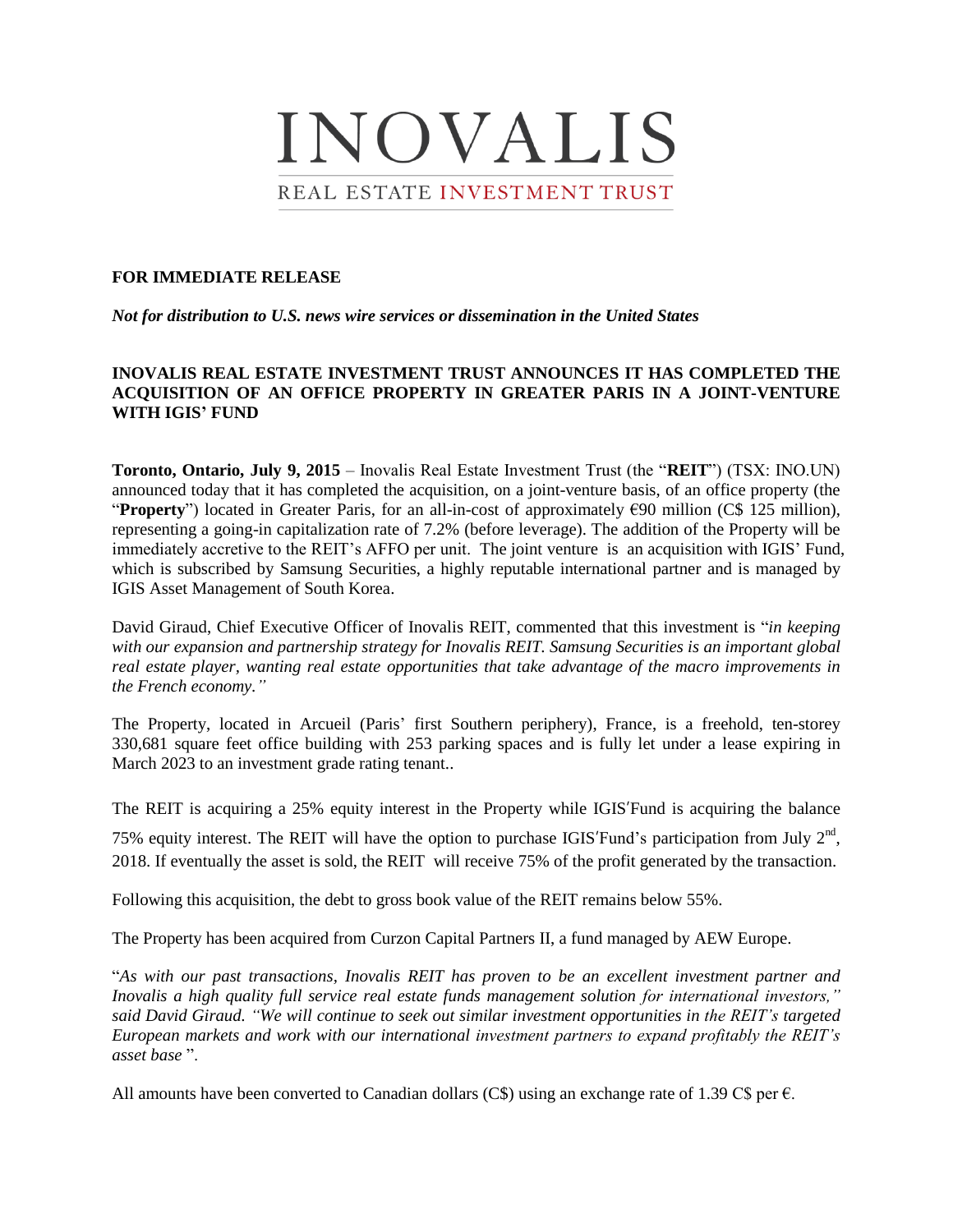

#### **FOR IMMEDIATE RELEASE**

*Not for distribution to U.S. news wire services or dissemination in the United States*

# **INOVALIS REAL ESTATE INVESTMENT TRUST ANNOUNCES IT HAS COMPLETED THE ACQUISITION OF AN OFFICE PROPERTY IN GREATER PARIS IN A JOINT-VENTURE WITH IGIS' FUND**

**Toronto, Ontario, July 9, 2015** – Inovalis Real Estate Investment Trust (the "**REIT**") (TSX: INO.UN) announced today that it has completed the acquisition, on a joint-venture basis, of an office property (the "**Property**") located in Greater Paris, for an all-in-cost of approximately €90 million (C\$ 125 million), representing a going-in capitalization rate of 7.2% (before leverage). The addition of the Property will be immediately accretive to the REIT's AFFO per unit. The joint venture is an acquisition with IGIS' Fund, which is subscribed by Samsung Securities, a highly reputable international partner and is managed by IGIS Asset Management of South Korea.

David Giraud, Chief Executive Officer of Inovalis REIT, commented that this investment is "*in keeping with our expansion and partnership strategy for Inovalis REIT. Samsung Securities is an important global real estate player, wanting real estate opportunities that take advantage of the macro improvements in the French economy."*

The Property, located in Arcueil (Paris' first Southern periphery), France, is a freehold, ten-storey 330,681 square feet office building with 253 parking spaces and is fully let under a lease expiring in March 2023 to an investment grade rating tenant..

The REIT is acquiring a 25% equity interest in the Property while IGIS'Fund is acquiring the balance

75% equity interest. The REIT will have the option to purchase IGIS'Fund's participation from July  $2<sup>nd</sup>$ , 2018. If eventually the asset is sold, the REIT will receive 75% of the profit generated by the transaction.

Following this acquisition, the debt to gross book value of the REIT remains below 55%.

The Property has been acquired from Curzon Capital Partners II, a fund managed by AEW Europe.

"*As with our past transactions, Inovalis REIT has proven to be an excellent investment partner and Inovalis a high quality full service real estate funds management solution for international investors," said David Giraud. "We will continue to seek out similar investment opportunities in the REIT's targeted European markets and work with our international investment partners to expand profitably the REIT's asset base* ".

All amounts have been converted to Canadian dollars (C\$) using an exchange rate of 1.39 C\$ per  $\epsilon$ .